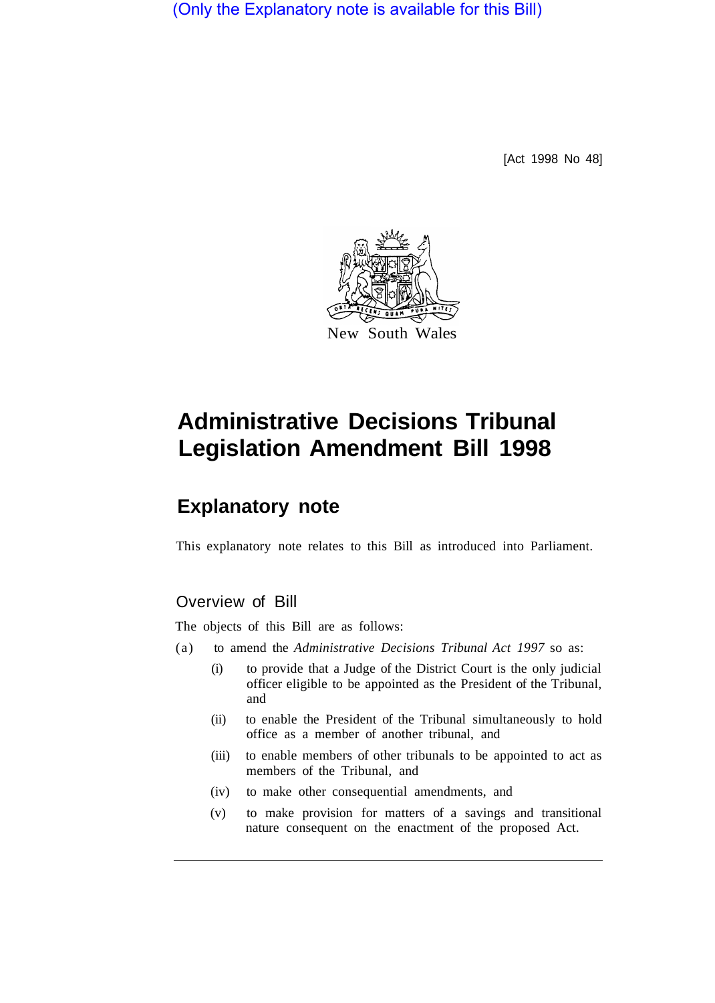(Only the Explanatory note is available for this Bill)

[Act 1998 No 48]



## **Administrative Decisions Tribunal Legislation Amendment Bill 1998**

## **Explanatory note**

This explanatory note relates to this Bill as introduced into Parliament.

## Overview of Bill

The objects of this Bill are as follows:

- (a) to amend the *Administrative Decisions Tribunal Act 1997* so as:
	- (i) to provide that a Judge of the District Court is the only judicial officer eligible to be appointed as the President of the Tribunal, and
	- (ii) to enable the President of the Tribunal simultaneously to hold office as a member of another tribunal, and
	- (iii) to enable members of other tribunals to be appointed to act as members of the Tribunal, and
	- (iv) to make other consequential amendments, and
	- (v) to make provision for matters of a savings and transitional nature consequent on the enactment of the proposed Act.